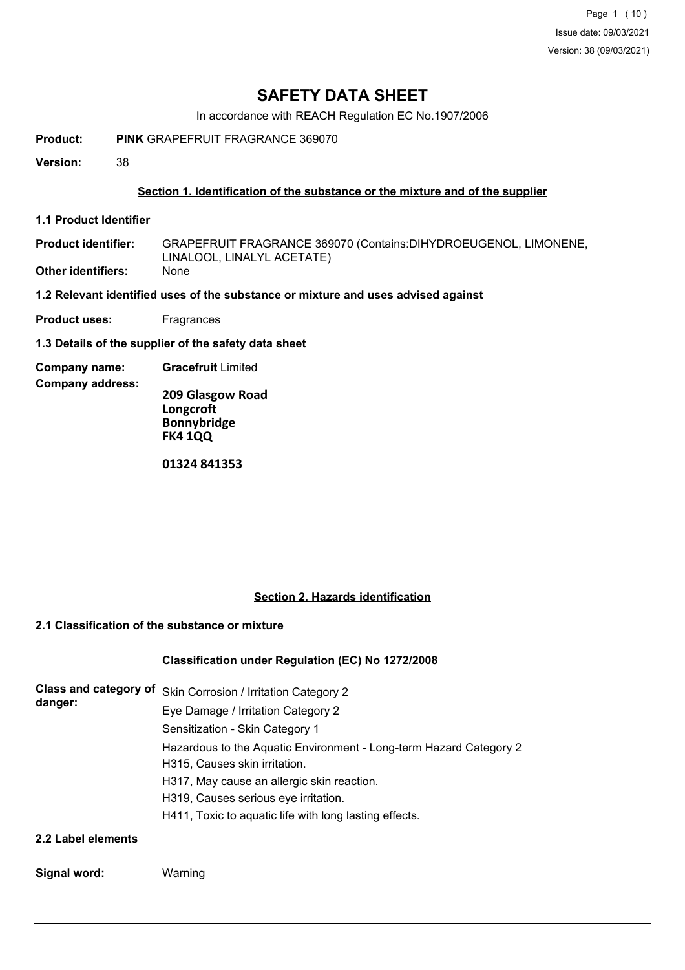In accordance with REACH Regulation EC No.1907/2006

**Product: PINK** GRAPEFRUIT FRAGRANCE 369070

**Version:** 38

### **Section 1. Identification of the substance or the mixture and of the supplier**

**1.1 Product Identifier**

GRAPEFRUIT FRAGRANCE 369070 (Contains:DIHYDROEUGENOL, LIMONENE, LINALOOL, LINALYL ACETATE) **Product identifier: Other identifiers:** None

**1.2 Relevant identified uses of the substance or mixture and uses advised against**

- **Product uses:** Fragrances
- **1.3 Details of the supplier of the safety data sheet**
- **Company name: Gracefruit** Limited

**Company address:**

**209 Glasgow Road Longcroft Bonnybridge FK4 1QQ**

**01324 841353**

#### **Section 2. Hazards identification**

## **2.1 Classification of the substance or mixture**

#### **Classification under Regulation (EC) No 1272/2008**

| Class and category of<br>danger: | Skin Corrosion / Irritation Category 2                             |  |  |  |  |
|----------------------------------|--------------------------------------------------------------------|--|--|--|--|
|                                  | Eye Damage / Irritation Category 2                                 |  |  |  |  |
|                                  | Sensitization - Skin Category 1                                    |  |  |  |  |
|                                  | Hazardous to the Aquatic Environment - Long-term Hazard Category 2 |  |  |  |  |
|                                  | H315, Causes skin irritation.                                      |  |  |  |  |
|                                  | H317, May cause an allergic skin reaction.                         |  |  |  |  |
|                                  | H319, Causes serious eye irritation.                               |  |  |  |  |
|                                  | H411, Toxic to aquatic life with long lasting effects.             |  |  |  |  |
| 2.2 Label elements               |                                                                    |  |  |  |  |

#### **Signal word:** Warning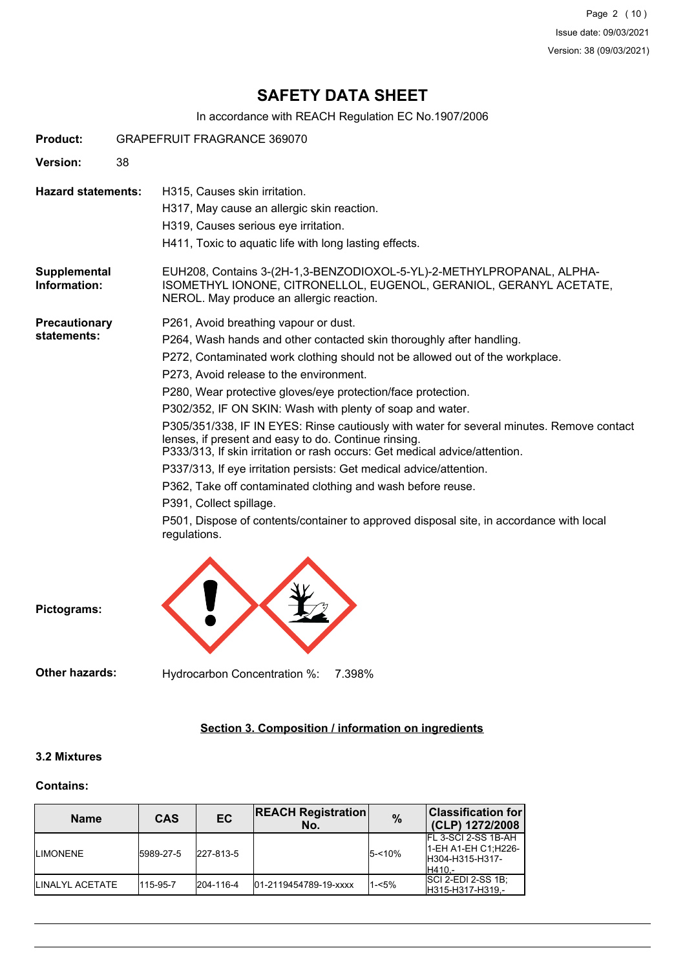Page 2 (10) Issue date: 09/03/2021 Version: 38 (09/03/2021)

## **SAFETY DATA SHEET**

In accordance with REACH Regulation EC No.1907/2006

| <b>Product:</b>                     | <b>GRAPEFRUIT FRAGRANCE 369070</b>                                                                                                                                                                                                                                                                                                                                                                                                                                                                                                                                                                                                                                                                                                                                                                                                                                                   |  |  |  |  |  |
|-------------------------------------|--------------------------------------------------------------------------------------------------------------------------------------------------------------------------------------------------------------------------------------------------------------------------------------------------------------------------------------------------------------------------------------------------------------------------------------------------------------------------------------------------------------------------------------------------------------------------------------------------------------------------------------------------------------------------------------------------------------------------------------------------------------------------------------------------------------------------------------------------------------------------------------|--|--|--|--|--|
| <b>Version:</b>                     |                                                                                                                                                                                                                                                                                                                                                                                                                                                                                                                                                                                                                                                                                                                                                                                                                                                                                      |  |  |  |  |  |
| <b>Hazard statements:</b>           | H315, Causes skin irritation.<br>H317, May cause an allergic skin reaction.<br>H319, Causes serious eye irritation.<br>H411, Toxic to aquatic life with long lasting effects.                                                                                                                                                                                                                                                                                                                                                                                                                                                                                                                                                                                                                                                                                                        |  |  |  |  |  |
| Supplemental<br>Information:        | EUH208, Contains 3-(2H-1,3-BENZODIOXOL-5-YL)-2-METHYLPROPANAL, ALPHA-<br>ISOMETHYL IONONE, CITRONELLOL, EUGENOL, GERANIOL, GERANYL ACETATE,<br>NEROL. May produce an allergic reaction.                                                                                                                                                                                                                                                                                                                                                                                                                                                                                                                                                                                                                                                                                              |  |  |  |  |  |
| <b>Precautionary</b><br>statements: | P261, Avoid breathing vapour or dust.<br>P264, Wash hands and other contacted skin thoroughly after handling.<br>P272, Contaminated work clothing should not be allowed out of the workplace.<br>P273, Avoid release to the environment.<br>P280, Wear protective gloves/eye protection/face protection.<br>P302/352, IF ON SKIN: Wash with plenty of soap and water.<br>P305/351/338, IF IN EYES: Rinse cautiously with water for several minutes. Remove contact<br>lenses, if present and easy to do. Continue rinsing.<br>P333/313, If skin irritation or rash occurs: Get medical advice/attention.<br>P337/313, If eye irritation persists: Get medical advice/attention.<br>P362, Take off contaminated clothing and wash before reuse.<br>P391, Collect spillage.<br>P501, Dispose of contents/container to approved disposal site, in accordance with local<br>regulations. |  |  |  |  |  |

**Pictograms:**

**Other hazards:** Hydrocarbon Concentration %: 7.398%

## **Section 3. Composition / information on ingredients**

#### **3.2 Mixtures**

#### **Contains:**

| <b>Name</b>             | <b>CAS</b> | <b>EC</b> | <b>REACH Registration</b><br>No. | $\frac{9}{6}$ | <b>Classification for</b><br>(CLP) 1272/2008                               |
|-------------------------|------------|-----------|----------------------------------|---------------|----------------------------------------------------------------------------|
| <b>ILIMONENE</b>        | 15989-27-5 | 227-813-5 |                                  | $5 - 10%$     | IFL 3-SCI 2-SS 1B-AH<br>1-EH A1-EH C1;H226-<br>IH304-H315-H317-<br>IH410.- |
| <b>ILINALYL ACETATE</b> | 115-95-7   | 204-116-4 | 01-2119454789-19-xxxx            | 1-<5%         | <b>SCI 2-EDI 2-SS 1B:</b><br>H315-H317-H319.-                              |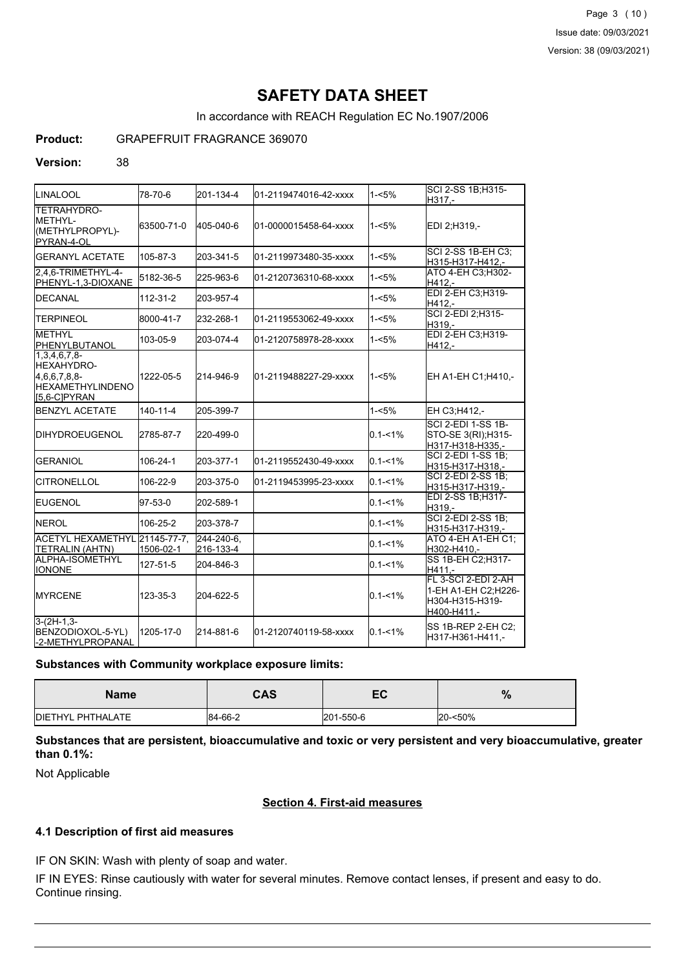In accordance with REACH Regulation EC No.1907/2006

## **Product:** GRAPEFRUIT FRAGRANCE 369070

#### **Version:** 38

| <b>LINALOOL</b>                                                                                 | 78-70-6        | 201-134-4               | 01-2119474016-42-xxxx | $1 - 5%$    | SCI 2-SS 1B:H315-<br>H317,-                                                  |
|-------------------------------------------------------------------------------------------------|----------------|-------------------------|-----------------------|-------------|------------------------------------------------------------------------------|
| <b>TETRAHYDRO-</b><br><b>I</b> METHYL-<br>(METHYLPROPYL)-<br>PYRAN-4-OL                         | 63500-71-0     | 405-040-6               | 01-0000015458-64-xxxx | $1 - 5%$    | EDI 2:H319.-                                                                 |
| <b>GERANYL ACETATE</b>                                                                          | 105-87-3       | 203-341-5               | 01-2119973480-35-xxxx | $1 - 5%$    | SCI 2-SS 1B-EH C3;<br>H315-H317-H412,-                                       |
| 2.4.6-TRIMETHYL-4-<br>PHENYL-1,3-DIOXANE                                                        | 5182-36-5      | 225-963-6               | 01-2120736310-68-xxxx | $1 - 5%$    | ATO 4-EH C3;H302-<br>H412,-                                                  |
| <b>IDECANAL</b>                                                                                 | 112-31-2       | 203-957-4               |                       | $1 - 5%$    | EDI 2-EH C3;H319-<br>H412,-                                                  |
| <b>TERPINEOL</b>                                                                                | 8000-41-7      | 232-268-1               | 01-2119553062-49-xxxx | $1 - 5%$    | SCI 2-EDI 2; H315-<br>H319.-                                                 |
| <b>METHYL</b><br>PHENYLBUTANOL                                                                  | 103-05-9       | 203-074-4               | 01-2120758978-28-xxxx | $1 - 5%$    | EDI 2-EH C3, H319-<br>H412.-                                                 |
| $1,3,4,6,7,8-$<br><b>HEXAHYDRO-</b><br>4,6,6,7,8,8-<br><b>IHEXAMETHYLINDENO</b><br>I5.6-CIPYRAN | 1222-05-5      | 214-946-9               | 01-2119488227-29-xxxx | $1 - 5%$    | EH A1-EH C1;H410,-                                                           |
| <b>BENZYL ACETATE</b>                                                                           | $140 - 11 - 4$ | 205-399-7               |                       | $1 - 5%$    | EH C3;H412,-                                                                 |
| <b>IDIHYDROEUGENOL</b>                                                                          | 2785-87-7      | 220-499-0               |                       | $0.1 - 1\%$ | <b>SCI 2-EDI 1-SS 1B-</b><br>STO-SE 3(RI); H315-<br>H317-H318-H335,-         |
| <b>IGERANIOL</b>                                                                                | 106-24-1       | 203-377-1               | 01-2119552430-49-xxxx | $0.1 - 1\%$ | SCI 2-EDI 1-SS 1B;<br>H315-H317-H318.-                                       |
| <b>CITRONELLOL</b>                                                                              | 106-22-9       | 203-375-0               | 01-2119453995-23-xxxx | $0.1 - 1\%$ | <b>SCI 2-EDI 2-SS 1B:</b><br>H315-H317-H319.-                                |
| <b>IEUGENOL</b>                                                                                 | 97-53-0        | 202-589-1               |                       | $0.1 - 1\%$ | EDI 2-SS 1B;H317-<br>H319,-                                                  |
| <b>INEROL</b>                                                                                   | 106-25-2       | 203-378-7               |                       | $0.1 - 1\%$ | <b>SCI 2-EDI 2-SS 1B;</b><br>H315-H317-H319,-                                |
| ACETYL HEXAMETHYL 21145-77-7.<br>TETRALIN (AHTN)                                                | 1506-02-1      | 244-240-6.<br>216-133-4 |                       | $0.1 - 1\%$ | ATO 4-EH A1-EH C1;<br>H302-H410.-                                            |
| ALPHA-ISOMETHYL<br><b>IONONE</b>                                                                | 127-51-5       | 204-846-3               |                       | $0.1 - 1\%$ | SS 1B-EH C2:H317-<br>H411,-                                                  |
| <b>IMYRCENE</b>                                                                                 | 123-35-3       | 204-622-5               |                       | $0.1 - 1\%$ | FL 3-SCI 2-EDI 2-AH<br>1-EH A1-EH C2;H226-<br>H304-H315-H319-<br>H400-H411,- |
| $3-(2H-1,3-$<br>BENZODIOXOL-5-YL)<br>-2-METHYLPROPANAL                                          | 1205-17-0      | 214-881-6               | 01-2120740119-58-xxxx | $0.1 - 1\%$ | SS 1B-REP 2-EH C2:<br>H317-H361-H411,-                                       |

#### **Substances with Community workplace exposure limits:**

| <b>Name</b>       | <b>CAS</b> | -0<br>cv  | $\mathbf{O}$<br>70 |
|-------------------|------------|-----------|--------------------|
| DIETHYL PHTHALATE | 84-66-2    | 201-550-6 | 20-<50%            |

**Substances that are persistent, bioaccumulative and toxic or very persistent and very bioaccumulative, greater than 0.1%:**

Not Applicable

## **Section 4. First-aid measures**

### **4.1 Description of first aid measures**

IF ON SKIN: Wash with plenty of soap and water.

IF IN EYES: Rinse cautiously with water for several minutes. Remove contact lenses, if present and easy to do. Continue rinsing.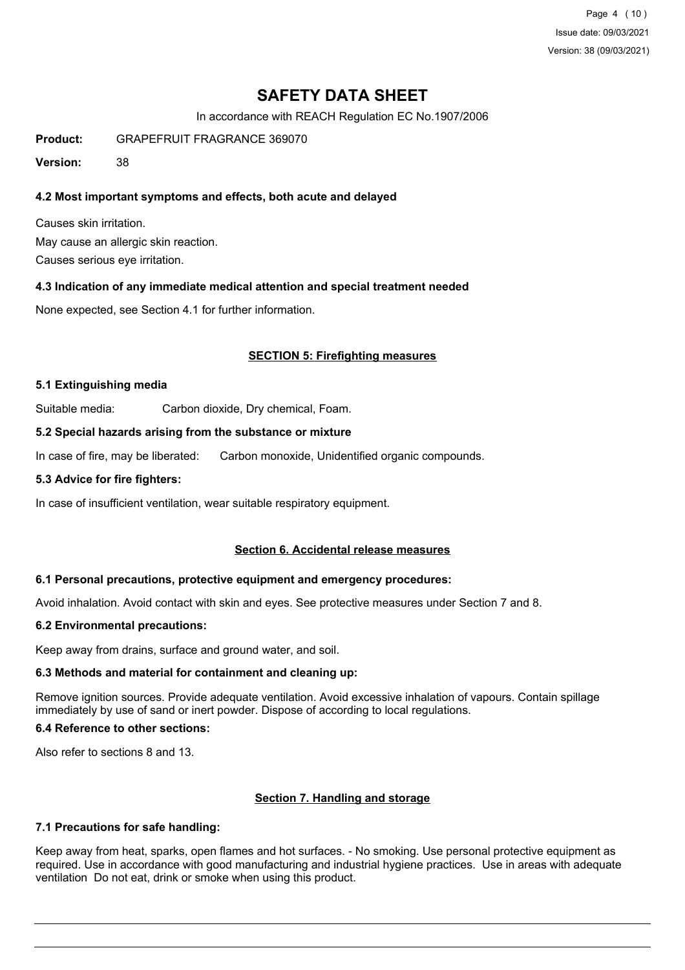Page 4 (10) Issue date: 09/03/2021 Version: 38 (09/03/2021)

## **SAFETY DATA SHEET**

In accordance with REACH Regulation EC No.1907/2006

**Product:** GRAPEFRUIT FRAGRANCE 369070

**Version:** 38

### **4.2 Most important symptoms and effects, both acute and delayed**

Causes skin irritation. May cause an allergic skin reaction. Causes serious eye irritation.

#### **4.3 Indication of any immediate medical attention and special treatment needed**

None expected, see Section 4.1 for further information.

#### **SECTION 5: Firefighting measures**

#### **5.1 Extinguishing media**

Suitable media: Carbon dioxide, Dry chemical, Foam.

#### **5.2 Special hazards arising from the substance or mixture**

In case of fire, may be liberated: Carbon monoxide, Unidentified organic compounds.

#### **5.3 Advice for fire fighters:**

In case of insufficient ventilation, wear suitable respiratory equipment.

#### **Section 6. Accidental release measures**

#### **6.1 Personal precautions, protective equipment and emergency procedures:**

Avoid inhalation. Avoid contact with skin and eyes. See protective measures under Section 7 and 8.

#### **6.2 Environmental precautions:**

Keep away from drains, surface and ground water, and soil.

### **6.3 Methods and material for containment and cleaning up:**

Remove ignition sources. Provide adequate ventilation. Avoid excessive inhalation of vapours. Contain spillage immediately by use of sand or inert powder. Dispose of according to local regulations.

## **6.4 Reference to other sections:**

Also refer to sections 8 and 13.

#### **Section 7. Handling and storage**

#### **7.1 Precautions for safe handling:**

Keep away from heat, sparks, open flames and hot surfaces. - No smoking. Use personal protective equipment as required. Use in accordance with good manufacturing and industrial hygiene practices. Use in areas with adequate ventilation Do not eat, drink or smoke when using this product.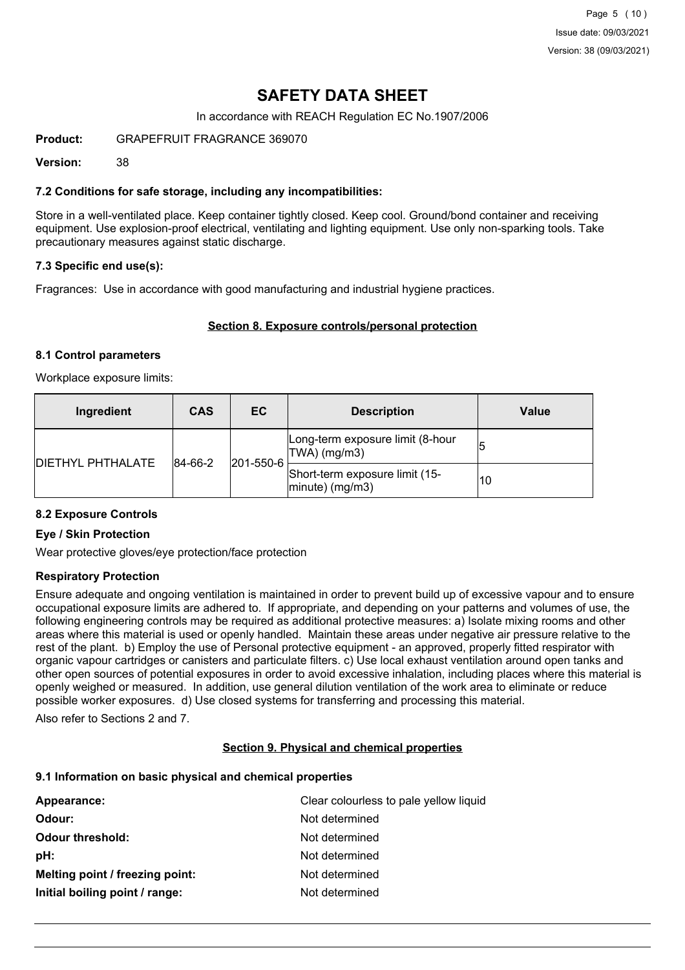In accordance with REACH Regulation EC No.1907/2006

**Product:** GRAPEFRUIT FRAGRANCE 369070

**Version:** 38

### **7.2 Conditions for safe storage, including any incompatibilities:**

Store in a well-ventilated place. Keep container tightly closed. Keep cool. Ground/bond container and receiving equipment. Use explosion-proof electrical, ventilating and lighting equipment. Use only non-sparking tools. Take precautionary measures against static discharge.

### **7.3 Specific end use(s):**

Fragrances: Use in accordance with good manufacturing and industrial hygiene practices.

### **Section 8. Exposure controls/personal protection**

#### **8.1 Control parameters**

Workplace exposure limits:

| Ingredient               | <b>CAS</b>  | EC.       | <b>Description</b>                                       | Value |
|--------------------------|-------------|-----------|----------------------------------------------------------|-------|
| <b>DIETHYL PHTHALATE</b> | $ 84-66-2 $ | 201-550-6 | Long-term exposure limit (8-hour<br>$ TWA $ (mg/m3)      | 15    |
|                          |             |           | Short-term exposure limit (15-<br>$ $ minute $ $ (mg/m3) | 10    |

#### **8.2 Exposure Controls**

#### **Eye / Skin Protection**

Wear protective gloves/eye protection/face protection

#### **Respiratory Protection**

Ensure adequate and ongoing ventilation is maintained in order to prevent build up of excessive vapour and to ensure occupational exposure limits are adhered to. If appropriate, and depending on your patterns and volumes of use, the following engineering controls may be required as additional protective measures: a) Isolate mixing rooms and other areas where this material is used or openly handled. Maintain these areas under negative air pressure relative to the rest of the plant. b) Employ the use of Personal protective equipment - an approved, properly fitted respirator with organic vapour cartridges or canisters and particulate filters. c) Use local exhaust ventilation around open tanks and other open sources of potential exposures in order to avoid excessive inhalation, including places where this material is openly weighed or measured. In addition, use general dilution ventilation of the work area to eliminate or reduce possible worker exposures. d) Use closed systems for transferring and processing this material.

Also refer to Sections 2 and 7.

#### **Section 9. Physical and chemical properties**

#### **9.1 Information on basic physical and chemical properties**

| Appearance:                     | Clear colourless to pale yellow liquid |
|---------------------------------|----------------------------------------|
| Odour:                          | Not determined                         |
| <b>Odour threshold:</b>         | Not determined                         |
| pH:                             | Not determined                         |
| Melting point / freezing point: | Not determined                         |
| Initial boiling point / range:  | Not determined                         |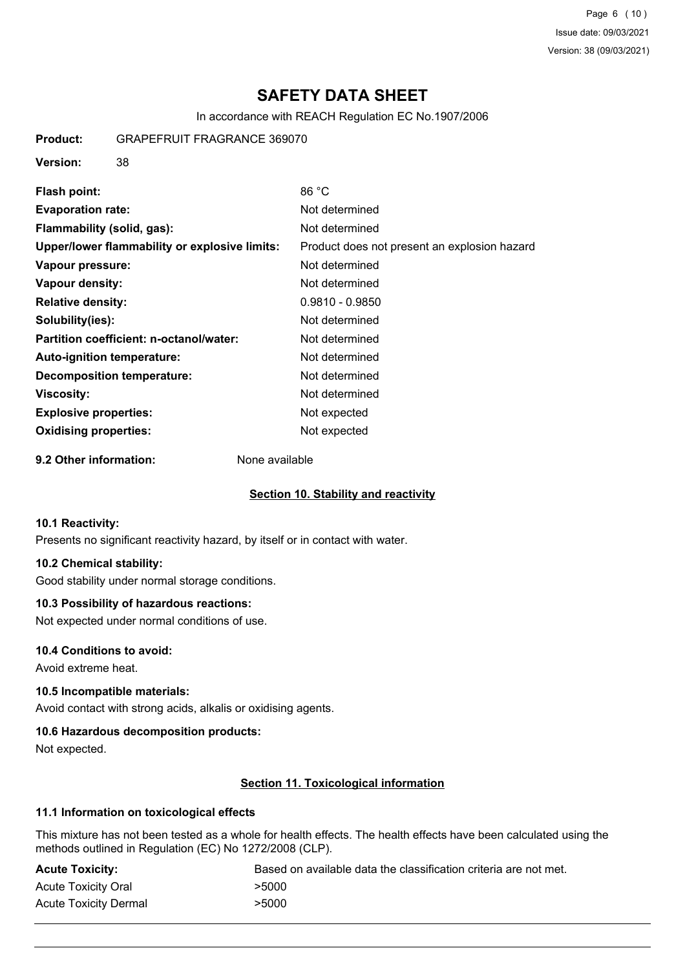Page 6 (10) Issue date: 09/03/2021 Version: 38 (09/03/2021)

## **SAFETY DATA SHEET**

In accordance with REACH Regulation EC No.1907/2006

**Product:** GRAPEFRUIT FRAGRANCE 369070

**Version:** 38

| Flash point:                                  | 86 °C                                        |
|-----------------------------------------------|----------------------------------------------|
| <b>Evaporation rate:</b>                      | Not determined                               |
| Flammability (solid, gas):                    | Not determined                               |
| Upper/lower flammability or explosive limits: | Product does not present an explosion hazard |
| Vapour pressure:                              | Not determined                               |
| Vapour density:                               | Not determined                               |
| <b>Relative density:</b>                      | $0.9810 - 0.9850$                            |
| Solubility(ies):                              | Not determined                               |
| Partition coefficient: n-octanol/water:       | Not determined                               |
| Auto-ignition temperature:                    | Not determined                               |
| <b>Decomposition temperature:</b>             | Not determined                               |
| Viscosity:                                    | Not determined                               |
| <b>Explosive properties:</b>                  | Not expected                                 |
| <b>Oxidising properties:</b>                  | Not expected                                 |
|                                               |                                              |

**9.2 Other information:** None available

#### **Section 10. Stability and reactivity**

#### **10.1 Reactivity:**

Presents no significant reactivity hazard, by itself or in contact with water.

## **10.2 Chemical stability:**

Good stability under normal storage conditions.

### **10.3 Possibility of hazardous reactions:**

Not expected under normal conditions of use.

### **10.4 Conditions to avoid:**

Avoid extreme heat.

### **10.5 Incompatible materials:**

Avoid contact with strong acids, alkalis or oxidising agents.

#### **10.6 Hazardous decomposition products:**

Not expected.

## **Section 11. Toxicological information**

## **11.1 Information on toxicological effects**

This mixture has not been tested as a whole for health effects. The health effects have been calculated using the methods outlined in Regulation (EC) No 1272/2008 (CLP).

| <b>Acute Toxicity:</b>     | Based on available data the classification criteria are not met. |
|----------------------------|------------------------------------------------------------------|
| <b>Acute Toxicity Oral</b> | >5000                                                            |
| Acute Toxicity Dermal      | >5000                                                            |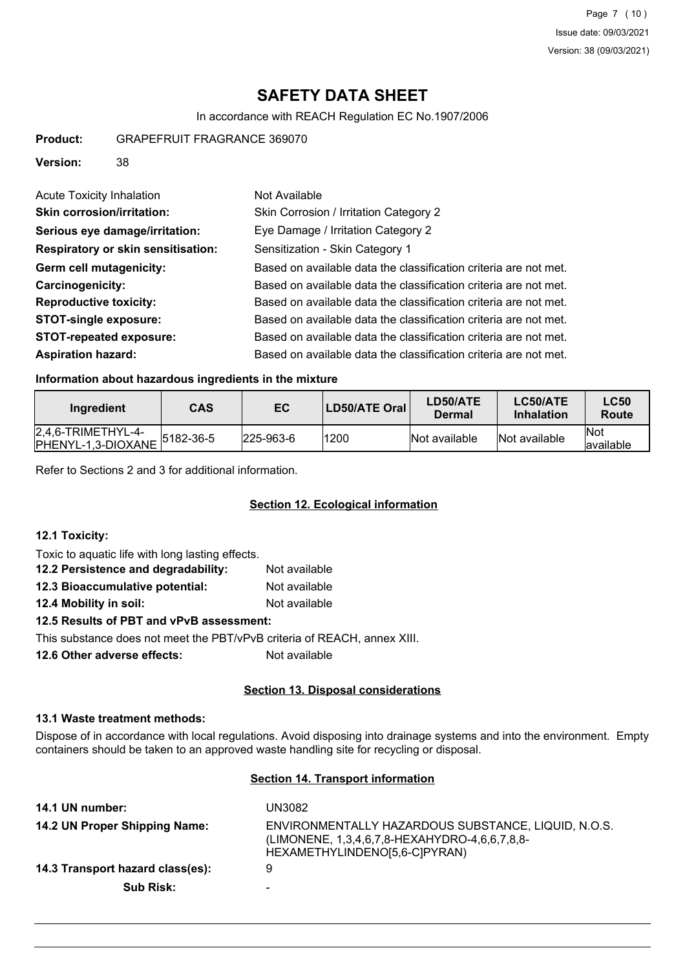In accordance with REACH Regulation EC No.1907/2006

**Product:** GRAPEFRUIT FRAGRANCE 369070

**Version:** 38

| <b>Acute Toxicity Inhalation</b>   | Not Available                                                    |
|------------------------------------|------------------------------------------------------------------|
| <b>Skin corrosion/irritation:</b>  | Skin Corrosion / Irritation Category 2                           |
| Serious eye damage/irritation:     | Eye Damage / Irritation Category 2                               |
| Respiratory or skin sensitisation: | Sensitization - Skin Category 1                                  |
| Germ cell mutagenicity:            | Based on available data the classification criteria are not met. |
| <b>Carcinogenicity:</b>            | Based on available data the classification criteria are not met. |
| <b>Reproductive toxicity:</b>      | Based on available data the classification criteria are not met. |
| <b>STOT-single exposure:</b>       | Based on available data the classification criteria are not met. |
| <b>STOT-repeated exposure:</b>     | Based on available data the classification criteria are not met. |
| <b>Aspiration hazard:</b>          | Based on available data the classification criteria are not met. |

### **Information about hazardous ingredients in the mixture**

| Ingredient                                  | <b>CAS</b>    | EC.               | <b>LD50/ATE Oral</b> | LD50/ATE<br>Dermal | LC50/ATE<br><b>Inhalation</b> | <b>LC50</b><br>Route     |
|---------------------------------------------|---------------|-------------------|----------------------|--------------------|-------------------------------|--------------------------|
| $[2,4,6-TRIMETHYL-4-$<br>PHENYL-1,3-DIOXANE | $ 5182-36-5 $ | $ 225 - 963 - 6 $ | 1200                 | Not available      | Not available                 | <b>Not</b><br>lavailable |

Refer to Sections 2 and 3 for additional information.

## **Section 12. Ecological information**

#### **12.1 Toxicity:**

Toxic to aquatic life with long lasting effects.

| 12.2 Persistence and degradability:      | Not available |  |  |  |
|------------------------------------------|---------------|--|--|--|
| 12.3 Bioaccumulative potential:          | Not available |  |  |  |
| 12.4 Mobility in soil:                   | Not available |  |  |  |
| 12.5 Results of PBT and vPvB assessment: |               |  |  |  |

This substance does not meet the PBT/vPvB criteria of REACH, annex XIII.

**12.6 Other adverse effects:** Not available

#### **Section 13. Disposal considerations**

## **13.1 Waste treatment methods:**

Dispose of in accordance with local regulations. Avoid disposing into drainage systems and into the environment. Empty containers should be taken to an approved waste handling site for recycling or disposal.

## **Section 14. Transport information**

| 14.1 UN number:                  | UN3082                                                                                                                                |
|----------------------------------|---------------------------------------------------------------------------------------------------------------------------------------|
| 14.2 UN Proper Shipping Name:    | ENVIRONMENTALLY HAZARDOUS SUBSTANCE, LIQUID, N.O.S.<br>(LIMONENE, 1,3,4,6,7,8-HEXAHYDRO-4,6,6,7,8,8-<br>HEXAMETHYLINDENO[5,6-C]PYRAN) |
| 14.3 Transport hazard class(es): | 9                                                                                                                                     |
| <b>Sub Risk:</b>                 | -                                                                                                                                     |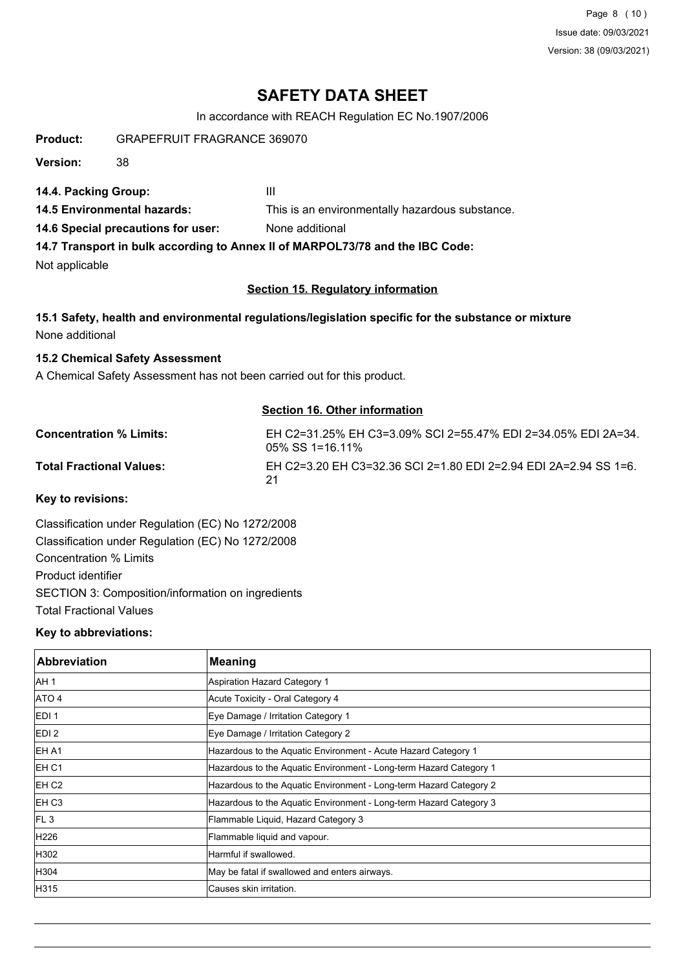Page 8 (10) Issue date: 09/03/2021 Version: 38 (09/03/2021)

## **SAFETY DATA SHEET**

In accordance with REACH Regulation EC No.1907/2006

**Product:** GRAPEFRUIT FRAGRANCE 369070

**Version:** 38

**14.4. Packing Group:** III

**14.5 Environmental hazards:** This is an environmentally hazardous substance.

**14.6 Special precautions for user:** None additional

**14.7 Transport in bulk according to Annex II of MARPOL73/78 and the IBC Code:**

Not applicable

#### **Section 15. Regulatory information**

**15.1 Safety, health and environmental regulations/legislation specific for the substance or mixture** None additional

**15.2 Chemical Safety Assessment**

A Chemical Safety Assessment has not been carried out for this product.

#### **Section 16. Other information**

| <b>Concentration % Limits:</b>  | EH C2=31.25% EH C3=3.09% SCI 2=55.47% EDI 2=34.05% EDI 2A=34.<br>$0.5\%$ SS 1=16.11% |
|---------------------------------|--------------------------------------------------------------------------------------|
| <b>Total Fractional Values:</b> | EH C2=3.20 EH C3=32.36 SCI 2=1.80 EDI 2=2.94 EDI 2A=2.94 SS 1=6.<br>-21              |

**Key to revisions:**

Classification under Regulation (EC) No 1272/2008 Classification under Regulation (EC) No 1272/2008 Concentration % Limits Product identifier SECTION 3: Composition/information on ingredients Total Fractional Values

#### **Key to abbreviations:**

| <b>Abbreviation</b> | <b>Meaning</b>                                                     |
|---------------------|--------------------------------------------------------------------|
| IAH 1               | Aspiration Hazard Category 1                                       |
| ATO 4               | Acute Toxicity - Oral Category 4                                   |
| EDI <sub>1</sub>    | Eye Damage / Irritation Category 1                                 |
| EDI <sub>2</sub>    | Eye Damage / Irritation Category 2                                 |
| EH A1               | Hazardous to the Aquatic Environment - Acute Hazard Category 1     |
| EH C1               | Hazardous to the Aquatic Environment - Long-term Hazard Category 1 |
| EH <sub>C2</sub>    | Hazardous to the Aquatic Environment - Long-term Hazard Category 2 |
| EH C <sub>3</sub>   | Hazardous to the Aquatic Environment - Long-term Hazard Category 3 |
| FL3                 | Flammable Liquid, Hazard Category 3                                |
| H226                | Flammable liquid and vapour.                                       |
| H302                | Harmful if swallowed.                                              |
| H304                | May be fatal if swallowed and enters airways.                      |
| H315                | Causes skin irritation.                                            |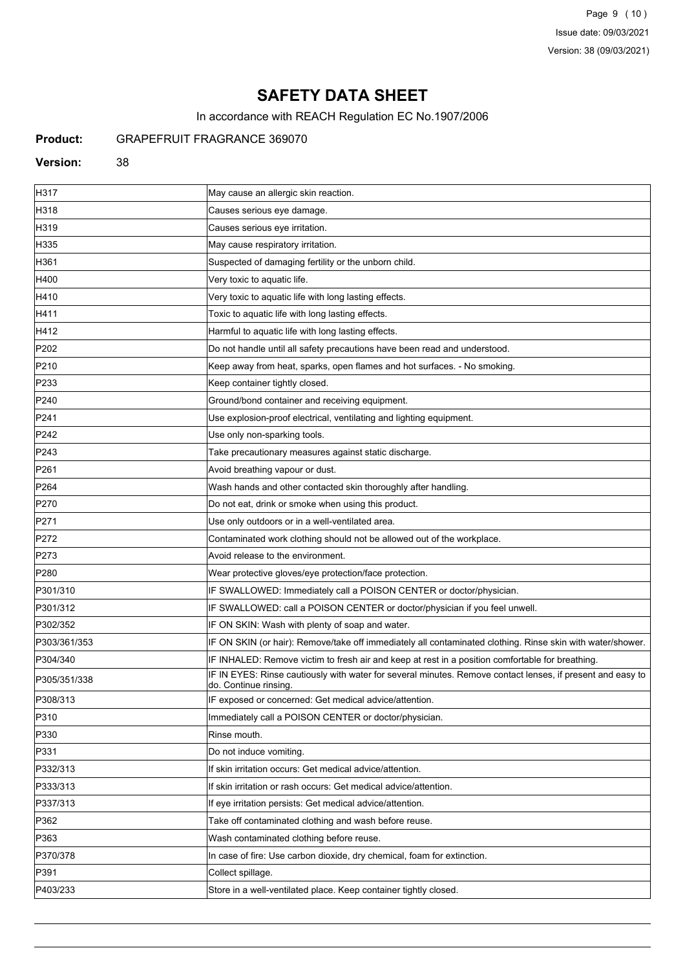Page 9 (10) Issue date: 09/03/2021 Version: 38 (09/03/2021)

# **SAFETY DATA SHEET**

In accordance with REACH Regulation EC No.1907/2006

## **Product:** GRAPEFRUIT FRAGRANCE 369070

#### **Version:** 38

| H317             | May cause an allergic skin reaction.                                                                                                |
|------------------|-------------------------------------------------------------------------------------------------------------------------------------|
| H318             | Causes serious eye damage.                                                                                                          |
| H319             | Causes serious eye irritation.                                                                                                      |
| H335             | May cause respiratory irritation.                                                                                                   |
| H361             | Suspected of damaging fertility or the unborn child.                                                                                |
| H400             | Very toxic to aquatic life.                                                                                                         |
| H410             | Very toxic to aquatic life with long lasting effects.                                                                               |
| H411             | Toxic to aquatic life with long lasting effects.                                                                                    |
| H412             | Harmful to aquatic life with long lasting effects.                                                                                  |
| P202             | Do not handle until all safety precautions have been read and understood.                                                           |
| P210             | Keep away from heat, sparks, open flames and hot surfaces. - No smoking.                                                            |
| P233             | Keep container tightly closed.                                                                                                      |
| P240             | Ground/bond container and receiving equipment.                                                                                      |
| P241             | Use explosion-proof electrical, ventilating and lighting equipment.                                                                 |
| P242             | Use only non-sparking tools.                                                                                                        |
| P243             | Take precautionary measures against static discharge.                                                                               |
| P <sub>261</sub> | Avoid breathing vapour or dust.                                                                                                     |
| P <sub>264</sub> | Wash hands and other contacted skin thoroughly after handling.                                                                      |
| P270             | Do not eat, drink or smoke when using this product.                                                                                 |
| P271             | Use only outdoors or in a well-ventilated area.                                                                                     |
| P272             | Contaminated work clothing should not be allowed out of the workplace.                                                              |
| P273             | Avoid release to the environment.                                                                                                   |
| P280             | Wear protective gloves/eye protection/face protection.                                                                              |
| P301/310         | IF SWALLOWED: Immediately call a POISON CENTER or doctor/physician.                                                                 |
| P301/312         | IF SWALLOWED: call a POISON CENTER or doctor/physician if you feel unwell.                                                          |
| P302/352         | IF ON SKIN: Wash with plenty of soap and water.                                                                                     |
| P303/361/353     | IF ON SKIN (or hair): Remove/take off immediately all contaminated clothing. Rinse skin with water/shower.                          |
| P304/340         | IF INHALED: Remove victim to fresh air and keep at rest in a position comfortable for breathing.                                    |
| P305/351/338     | IF IN EYES: Rinse cautiously with water for several minutes. Remove contact lenses, if present and easy to<br>do. Continue rinsing. |
| P308/313         | IF exposed or concerned: Get medical advice/attention.                                                                              |
| P310             | Immediately call a POISON CENTER or doctor/physician.                                                                               |
| P330             | Rinse mouth.                                                                                                                        |
| P331             | Do not induce vomiting.                                                                                                             |
| P332/313         | If skin irritation occurs: Get medical advice/attention.                                                                            |
| P333/313         | If skin irritation or rash occurs: Get medical advice/attention.                                                                    |
| P337/313         | If eye irritation persists: Get medical advice/attention.                                                                           |
| P362             | Take off contaminated clothing and wash before reuse.                                                                               |
| P363             | Wash contaminated clothing before reuse.                                                                                            |
| P370/378         | In case of fire: Use carbon dioxide, dry chemical, foam for extinction.                                                             |
| P391             | Collect spillage.                                                                                                                   |
| P403/233         | Store in a well-ventilated place. Keep container tightly closed.                                                                    |
|                  |                                                                                                                                     |